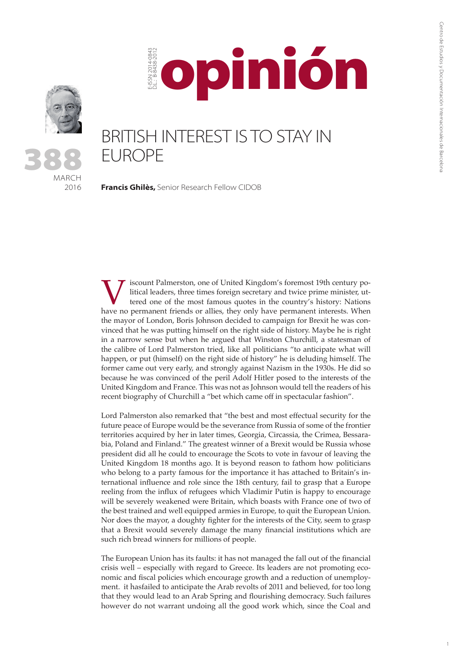

MARCH 2016

388

BRITISH INTEREST IS TO STAY IN EUROPE

opinión

**Francis Ghilès,** Senior Research Fellow CIDOB

E-ISSN 2014-0843 D.L.: B-8438-2012

-ISSN 2014-084<br>2014-084:

Iscount Palmerston, one of United Kingdom's foremost 19th century political leaders, three times foreign secretary and twice prime minister, uttered one of the most famous quotes in the country's history: Nations have no p litical leaders, three times foreign secretary and twice prime minister, uttered one of the most famous quotes in the country's history: Nations have no permanent friends or allies, they only have permanent interests. When the mayor of London, Boris Johnson decided to campaign for Brexit he was convinced that he was putting himself on the right side of history. Maybe he is right in a narrow sense but when he argued that Winston Churchill, a statesman of the calibre of Lord Palmerston tried, like all politicians "to anticipate what will happen, or put (himself) on the right side of history" he is deluding himself. The former came out very early, and strongly against Nazism in the 1930s. He did so because he was convinced of the peril Adolf Hitler posed to the interests of the United Kingdom and France. This was not as Johnson would tell the readers of his recent biography of Churchill a "bet which came off in spectacular fashion".

Lord Palmerston also remarked that "the best and most effectual security for the future peace of Europe would be the severance from Russia of some of the frontier territories acquired by her in later times, Georgia, Circassia, the Crimea, Bessarabia, Poland and Finland." The greatest winner of a Brexit would be Russia whose president did all he could to encourage the Scots to vote in favour of leaving the United Kingdom 18 months ago. It is beyond reason to fathom how politicians who belong to a party famous for the importance it has attached to Britain's international influence and role since the 18th century, fail to grasp that a Europe reeling from the influx of refugees which Vladimir Putin is happy to encourage will be severely weakened were Britain, which boasts with France one of two of the best trained and well equipped armies in Europe, to quit the European Union. Nor does the mayor, a doughty fighter for the interests of the City, seem to grasp that a Brexit would severely damage the many financial institutions which are such rich bread winners for millions of people.

The European Union has its faults: it has not managed the fall out of the financial crisis well – especially with regard to Greece. Its leaders are not promoting economic and fiscal policies which encourage growth and a reduction of unemployment. it hasfailed to anticipate the Arab revolts of 2011 and believed, for too long that they would lead to an Arab Spring and flourishing democracy. Such failures however do not warrant undoing all the good work which, since the Coal and